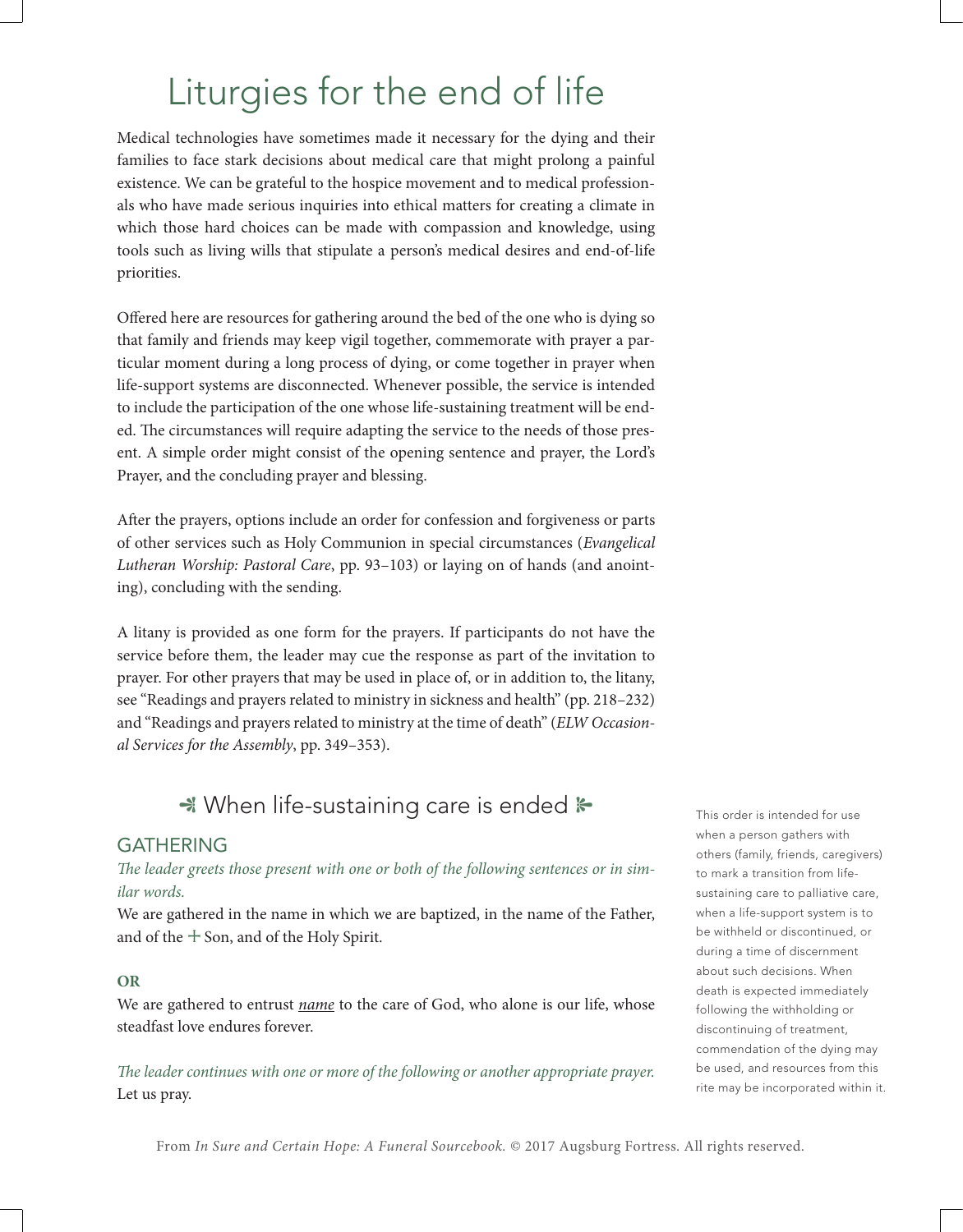# Liturgies for the end of life

Medical technologies have sometimes made it necessary for the dying and their families to face stark decisions about medical care that might prolong a painful existence. We can be grateful to the hospice movement and to medical professionals who have made serious inquiries into ethical matters for creating a climate in which those hard choices can be made with compassion and knowledge, using tools such as living wills that stipulate a person's medical desires and end-of-life priorities.

Offered here are resources for gathering around the bed of the one who is dying so that family and friends may keep vigil together, commemorate with prayer a particular moment during a long process of dying, or come together in prayer when life-support systems are disconnected. Whenever possible, the service is intended to include the participation of the one whose life-sustaining treatment will be ended. The circumstances will require adapting the service to the needs of those present. A simple order might consist of the opening sentence and prayer, the Lord's Prayer, and the concluding prayer and blessing.

After the prayers, options include an order for confession and forgiveness or parts of other services such as Holy Communion in special circumstances (*Evangelical Lutheran Worship: Pastoral Care*, pp. 93–103) or laying on of hands (and anointing), concluding with the sending.

A litany is provided as one form for the prayers. If participants do not have the service before them, the leader may cue the response as part of the invitation to prayer. For other prayers that may be used in place of, or in addition to, the litany, see "Readings and prayers related to ministry in sickness and health" (pp. 218–232) and "Readings and prayers related to ministry at the time of death" (*ELW Occasional Services for the Assembly*, pp. 349–353).

# $\rightarrow$  When life-sustaining care is ended  $\rightarrow$

# GATHERING

*The leader greets those present with one or both of the following sentences or in similar words.*

We are gathered in the name in which we are baptized, in the name of the Father, and of the  $+$  Son, and of the Holy Spirit.

# **OR**

We are gathered to entrust *name* to the care of God, who alone is our life, whose steadfast love endures forever.

*The leader continues with one or more of the following or another appropriate prayer.* Let us pray.

This order is intended for use when a person gathers with others (family, friends, caregivers) to mark a transition from lifesustaining care to palliative care, when a life-support system is to be withheld or discontinued, or during a time of discernment about such decisions. When death is expected immediately following the withholding or discontinuing of treatment, commendation of the dying may be used, and resources from this rite may be incorporated within it.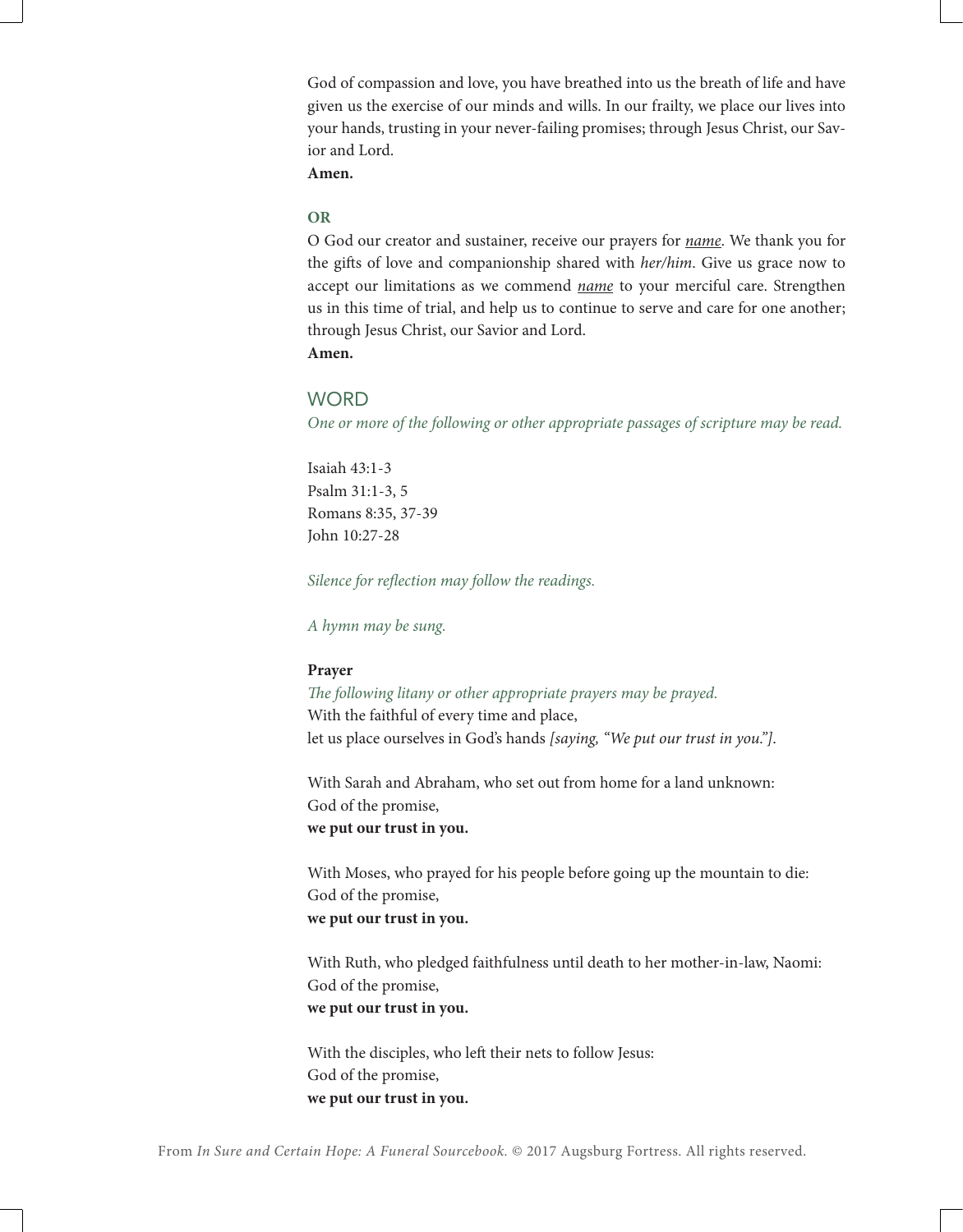God of compassion and love, you have breathed into us the breath of life and have given us the exercise of our minds and wills. In our frailty, we place our lives into your hands, trusting in your never-failing promises; through Jesus Christ, our Savior and Lord.

**Amen.**

# **OR**

O God our creator and sustainer, receive our prayers for *name*. We thank you for the gifts of love and companionship shared with *her/him*. Give us grace now to accept our limitations as we commend *name* to your merciful care. Strengthen us in this time of trial, and help us to continue to serve and care for one another; through Jesus Christ, our Savior and Lord. **Amen.**

# **WORD**

*One or more of the following or other appropriate passages of scripture may be read.*

Isaiah 43:1-3 Psalm 31:1-3, 5 Romans 8:35, 37-39 John 10:27-28

*Silence for reflection may follow the readings.*

*A hymn may be sung.*

#### **Prayer**

*The following litany or other appropriate prayers may be prayed.* With the faithful of every time and place, let us place ourselves in God's hands *[saying, "We put our trust in you."]*.

With Sarah and Abraham, who set out from home for a land unknown: God of the promise, **we put our trust in you.**

With Moses, who prayed for his people before going up the mountain to die: God of the promise, **we put our trust in you.**

With Ruth, who pledged faithfulness until death to her mother-in-law, Naomi: God of the promise, **we put our trust in you.**

With the disciples, who left their nets to follow Jesus: God of the promise, **we put our trust in you.**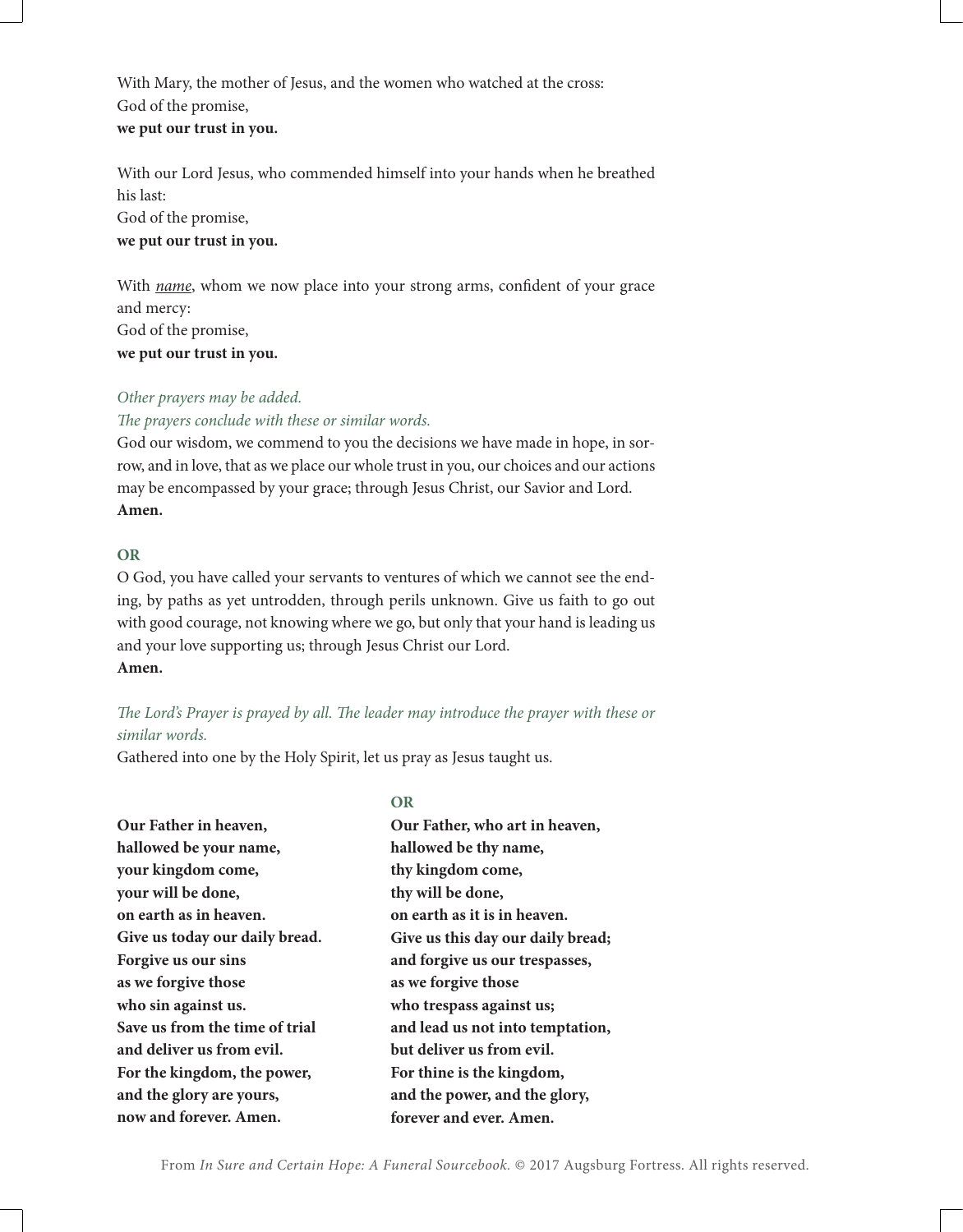With Mary, the mother of Jesus, and the women who watched at the cross: God of the promise, **we put our trust in you.**

With our Lord Jesus, who commended himself into your hands when he breathed his last: God of the promise, **we put our trust in you.**

With *name*, whom we now place into your strong arms, confident of your grace and mercy: God of the promise, **we put our trust in you.**

# *Other prayers may be added.*

*The prayers conclude with these or similar words.*

God our wisdom, we commend to you the decisions we have made in hope, in sorrow, and in love, that as we place our whole trust in you, our choices and our actions may be encompassed by your grace; through Jesus Christ, our Savior and Lord. **Amen.**

# **OR**

O God, you have called your servants to ventures of which we cannot see the ending, by paths as yet untrodden, through perils unknown. Give us faith to go out with good courage, not knowing where we go, but only that your hand is leading us and your love supporting us; through Jesus Christ our Lord. **Amen.**

*The Lord's Prayer is prayed by all. The leader may introduce the prayer with these or similar words.*

Gathered into one by the Holy Spirit, let us pray as Jesus taught us.

|                                | OR                                |
|--------------------------------|-----------------------------------|
| Our Father in heaven,          | Our Father, who art in heaven,    |
| hallowed be your name,         | hallowed be thy name,             |
| your kingdom come,             | thy kingdom come,                 |
| your will be done,             | thy will be done,                 |
| on earth as in heaven.         | on earth as it is in heaven.      |
| Give us today our daily bread. | Give us this day our daily bread; |
| Forgive us our sins            | and forgive us our trespasses,    |
| as we forgive those            | as we forgive those               |
| who sin against us.            | who trespass against us;          |
| Save us from the time of trial | and lead us not into temptation,  |
| and deliver us from evil.      | but deliver us from evil.         |
| For the kingdom, the power,    | For thine is the kingdom,         |
| and the glory are yours,       | and the power, and the glory,     |
| now and forever. Amen.         | forever and ever. Amen.           |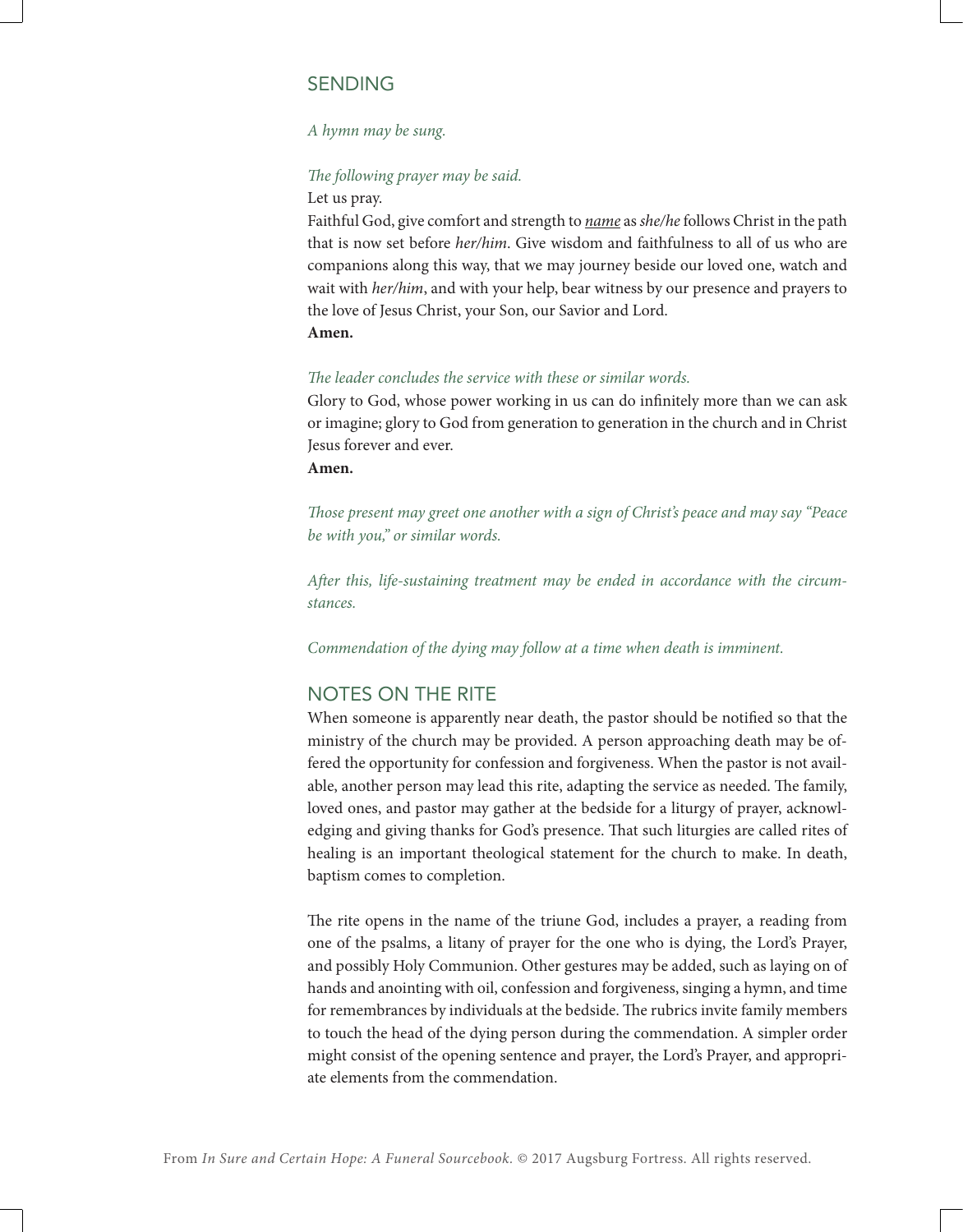# SENDING

# *A hymn may be sung.*

#### *The following prayer may be said.*

Let us pray.

Faithful God, give comfort and strength to *name* as *she/he* follows Christ in the path that is now set before *her/him*. Give wisdom and faithfulness to all of us who are companions along this way, that we may journey beside our loved one, watch and wait with *her/him*, and with your help, bear witness by our presence and prayers to the love of Jesus Christ, your Son, our Savior and Lord.

# **Amen.**

#### *The leader concludes the service with these or similar words.*

Glory to God, whose power working in us can do infinitely more than we can ask or imagine; glory to God from generation to generation in the church and in Christ Jesus forever and ever.

# **Amen.**

*Those present may greet one another with a sign of Christ's peace and may say "Peace be with you," or similar words.*

*After this, life-sustaining treatment may be ended in accordance with the circumstances.*

*Commendation of the dying may follow at a time when death is imminent.*

# NOTES ON THE RITE

When someone is apparently near death, the pastor should be notified so that the ministry of the church may be provided. A person approaching death may be offered the opportunity for confession and forgiveness. When the pastor is not available, another person may lead this rite, adapting the service as needed. The family, loved ones, and pastor may gather at the bedside for a liturgy of prayer, acknowledging and giving thanks for God's presence. That such liturgies are called rites of healing is an important theological statement for the church to make. In death, baptism comes to completion.

The rite opens in the name of the triune God, includes a prayer, a reading from one of the psalms, a litany of prayer for the one who is dying, the Lord's Prayer, and possibly Holy Communion. Other gestures may be added, such as laying on of hands and anointing with oil, confession and forgiveness, singing a hymn, and time for remembrances by individuals at the bedside. The rubrics invite family members to touch the head of the dying person during the commendation. A simpler order might consist of the opening sentence and prayer, the Lord's Prayer, and appropriate elements from the commendation.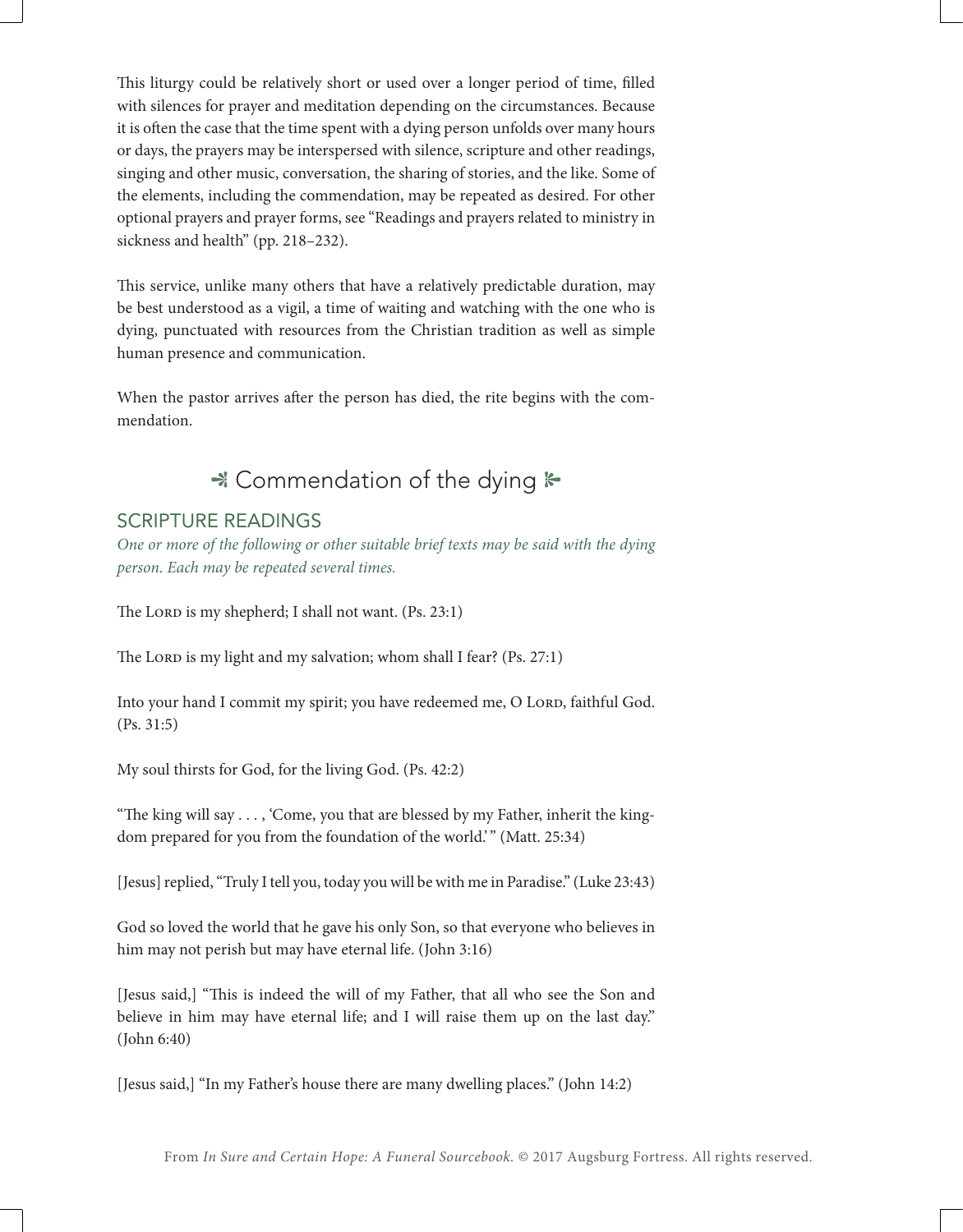This liturgy could be relatively short or used over a longer period of time, filled with silences for prayer and meditation depending on the circumstances. Because it is often the case that the time spent with a dying person unfolds over many hours or days, the prayers may be interspersed with silence, scripture and other readings, singing and other music, conversation, the sharing of stories, and the like. Some of the elements, including the commendation, may be repeated as desired. For other optional prayers and prayer forms, see "Readings and prayers related to ministry in sickness and health" (pp. 218–232).

This service, unlike many others that have a relatively predictable duration, may be best understood as a vigil, a time of waiting and watching with the one who is dying, punctuated with resources from the Christian tradition as well as simple human presence and communication.

When the pastor arrives after the person has died, the rite begins with the commendation.

# \* Commendation of the dying  $\ast$

# SCRIPTURE READINGS

*One or more of the following or other suitable brief texts may be said with the dying person. Each may be repeated several times.*

The Lord is my shepherd; I shall not want. (Ps. 23:1)

The Lord is my light and my salvation; whom shall I fear? (Ps. 27:1)

Into your hand I commit my spirit; you have redeemed me, O LORD, faithful God. (Ps. 31:5)

My soul thirsts for God, for the living God. (Ps. 42:2)

"The king will say . . . , 'Come, you that are blessed by my Father, inherit the kingdom prepared for you from the foundation of the world." (Matt. 25:34)

[Jesus] replied, "Truly I tell you, today you will be with me in Paradise." (Luke 23:43)

God so loved the world that he gave his only Son, so that everyone who believes in him may not perish but may have eternal life. (John 3:16)

[Jesus said,] "This is indeed the will of my Father, that all who see the Son and believe in him may have eternal life; and I will raise them up on the last day." (John 6:40)

[Jesus said,] "In my Father's house there are many dwelling places." (John 14:2)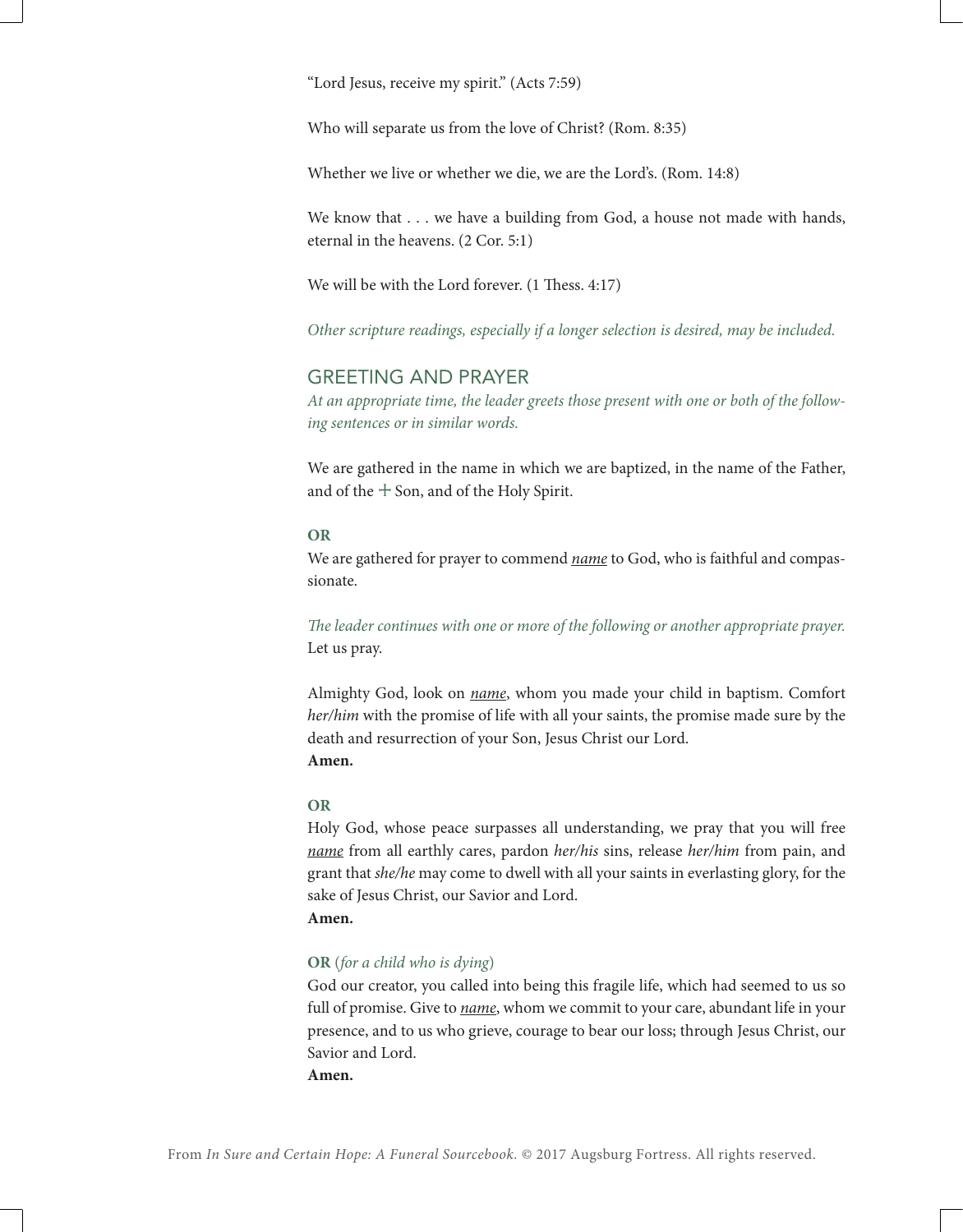"Lord Jesus, receive my spirit." (Acts 7:59)

Who will separate us from the love of Christ? (Rom. 8:35)

Whether we live or whether we die, we are the Lord's. (Rom. 14:8)

We know that . . . we have a building from God, a house not made with hands, eternal in the heavens. (2 Cor. 5:1)

We will be with the Lord forever. (1 Thess. 4:17)

*Other scripture readings, especially if a longer selection is desired, may be included.*

# GREETING AND PRAYER

*At an appropriate time, the leader greets those present with one or both of the following sentences or in similar words.*

We are gathered in the name in which we are baptized, in the name of the Father, and of the  $+$  Son, and of the Holy Spirit.

#### **OR**

We are gathered for prayer to commend *name* to God, who is faithful and compassionate.

*The leader continues with one or more of the following or another appropriate prayer.* Let us pray.

Almighty God, look on *name*, whom you made your child in baptism. Comfort *her/him* with the promise of life with all your saints, the promise made sure by the death and resurrection of your Son, Jesus Christ our Lord. **Amen.**

#### **OR**

Holy God, whose peace surpasses all understanding, we pray that you will free *name* from all earthly cares, pardon *her/his* sins, release *her/him* from pain, and grant that *she/he* may come to dwell with all your saints in everlasting glory, for the sake of Jesus Christ, our Savior and Lord. **Amen.**

#### **OR** (*for a child who is dying*)

God our creator, you called into being this fragile life, which had seemed to us so full of promise. Give to *name*, whom we commit to your care, abundant life in your presence, and to us who grieve, courage to bear our loss; through Jesus Christ, our Savior and Lord.

**Amen.**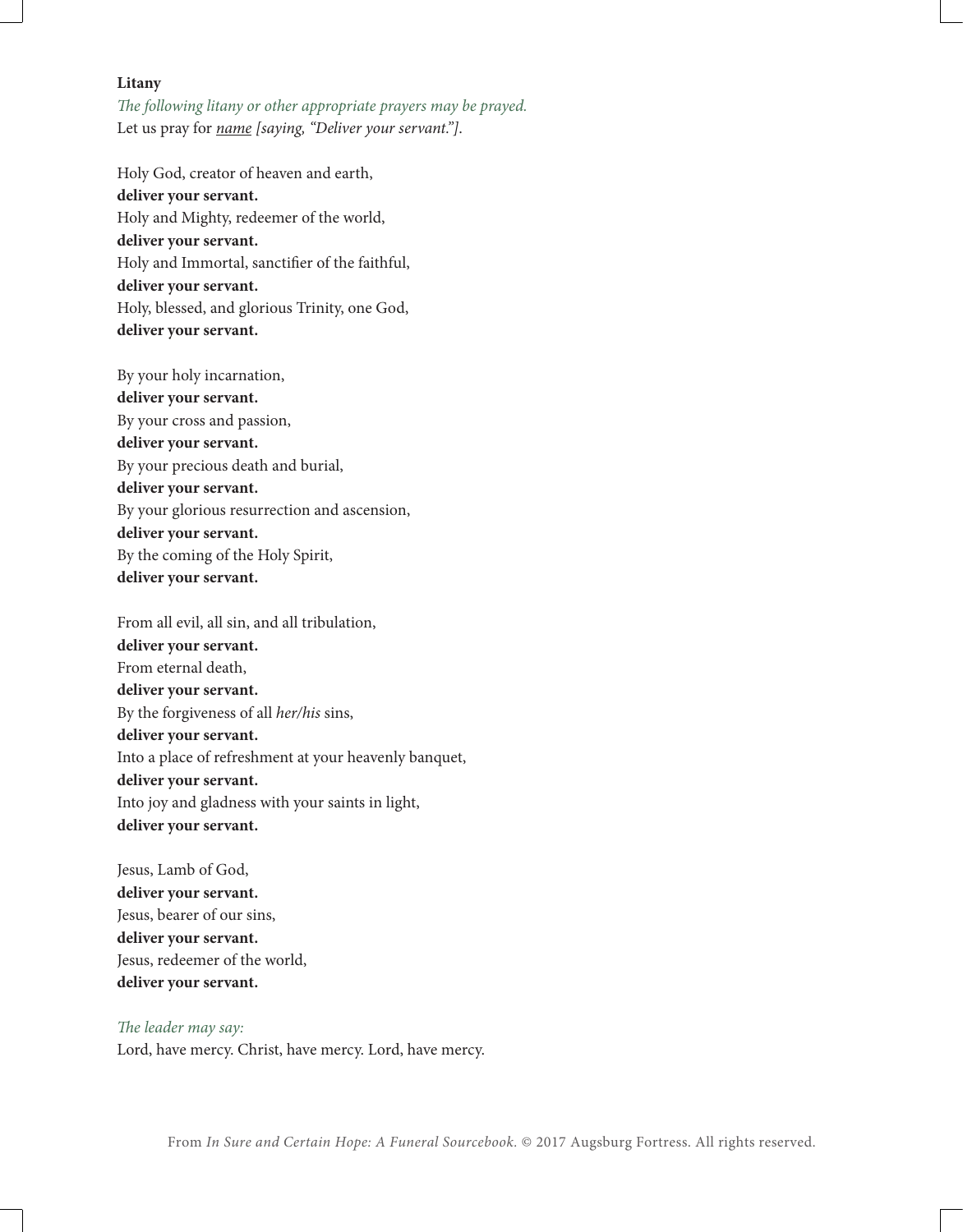#### **Litany**

*The following litany or other appropriate prayers may be prayed.* Let us pray for *name [saying, "Deliver your servant."]*.

Holy God, creator of heaven and earth, **deliver your servant.** Holy and Mighty, redeemer of the world, **deliver your servant.** Holy and Immortal, sanctifier of the faithful, **deliver your servant.** Holy, blessed, and glorious Trinity, one God, **deliver your servant.**

By your holy incarnation, **deliver your servant.** By your cross and passion, **deliver your servant.** By your precious death and burial, **deliver your servant.** By your glorious resurrection and ascension, **deliver your servant.** By the coming of the Holy Spirit, **deliver your servant.**

From all evil, all sin, and all tribulation, **deliver your servant.** From eternal death, **deliver your servant.** By the forgiveness of all *her/his* sins, **deliver your servant.** Into a place of refreshment at your heavenly banquet, **deliver your servant.** Into joy and gladness with your saints in light, **deliver your servant.**

Jesus, Lamb of God, **deliver your servant.** Jesus, bearer of our sins, **deliver your servant.** Jesus, redeemer of the world, **deliver your servant.**

*The leader may say:* Lord, have mercy. Christ, have mercy. Lord, have mercy.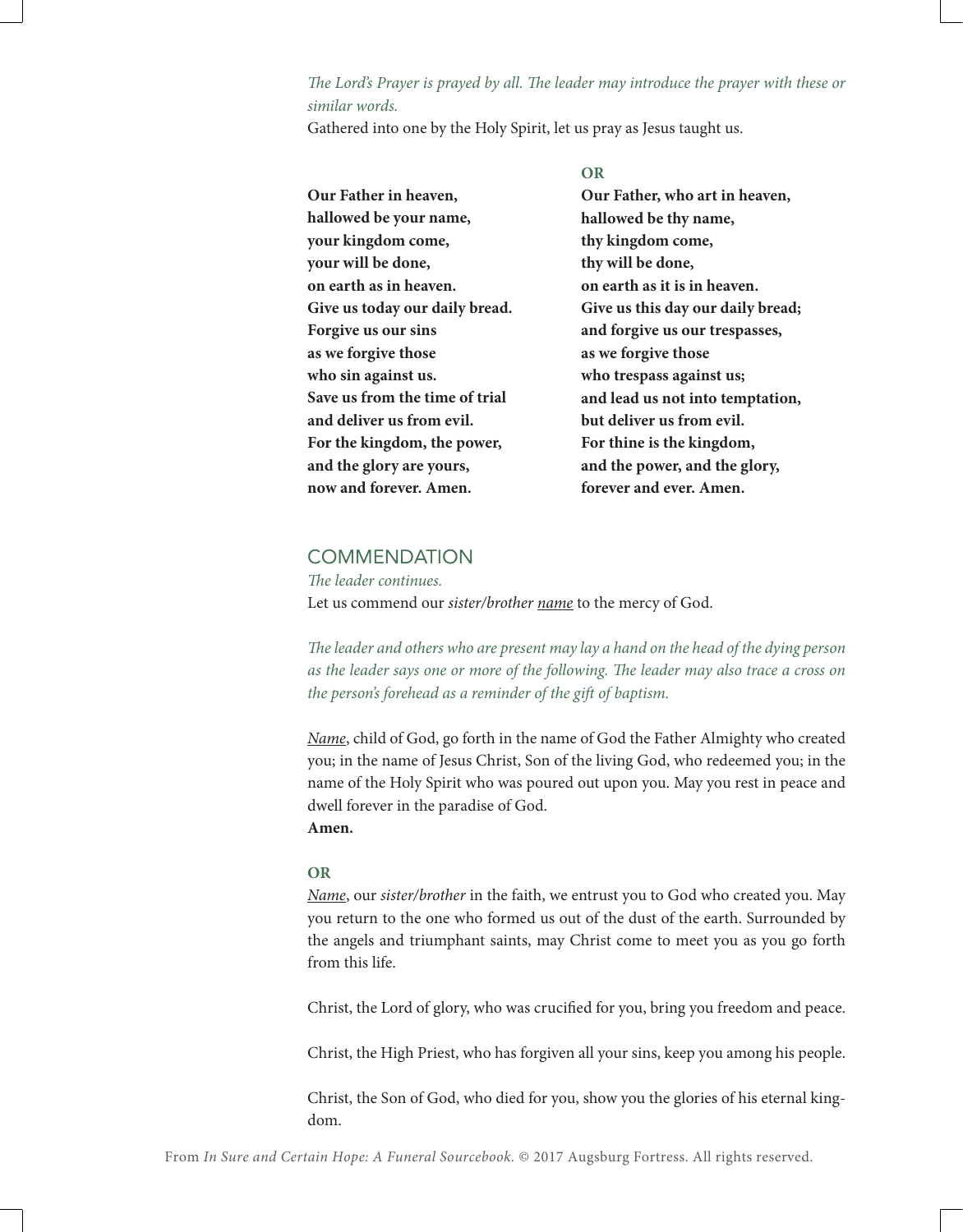# *The Lord's Prayer is prayed by all. The leader may introduce the prayer with these or similar words.*

Gathered into one by the Holy Spirit, let us pray as Jesus taught us.

**Our Father in heaven, hallowed be your name, your kingdom come, your will be done, on earth as in heaven. Give us today our daily bread. Forgive us our sins as we forgive those who sin against us. Save us from the time of trial and deliver us from evil. For the kingdom, the power, and the glory are yours, now and forever. Amen.**

**OR Our Father, who art in heaven, hallowed be thy name, thy kingdom come, thy will be done, on earth as it is in heaven. Give us this day our daily bread; and forgive us our trespasses, as we forgive those who trespass against us; and lead us not into temptation, but deliver us from evil. For thine is the kingdom, and the power, and the glory, forever and ever. Amen.**

# **COMMENDATION**

*The leader continues.* Let us commend our *sister/brother name* to the mercy of God.

*The leader and others who are present may lay a hand on the head of the dying person as the leader says one or more of the following. The leader may also trace a cross on the person's forehead as a reminder of the gift of baptism.*

*Name*, child of God, go forth in the name of God the Father Almighty who created you; in the name of Jesus Christ, Son of the living God, who redeemed you; in the name of the Holy Spirit who was poured out upon you. May you rest in peace and dwell forever in the paradise of God. **Amen.**

#### **OR**

*Name*, our *sister/brother* in the faith, we entrust you to God who created you. May you return to the one who formed us out of the dust of the earth. Surrounded by the angels and triumphant saints, may Christ come to meet you as you go forth from this life.

Christ, the Lord of glory, who was crucified for you, bring you freedom and peace.

Christ, the High Priest, who has forgiven all your sins, keep you among his people.

Christ, the Son of God, who died for you, show you the glories of his eternal kingdom.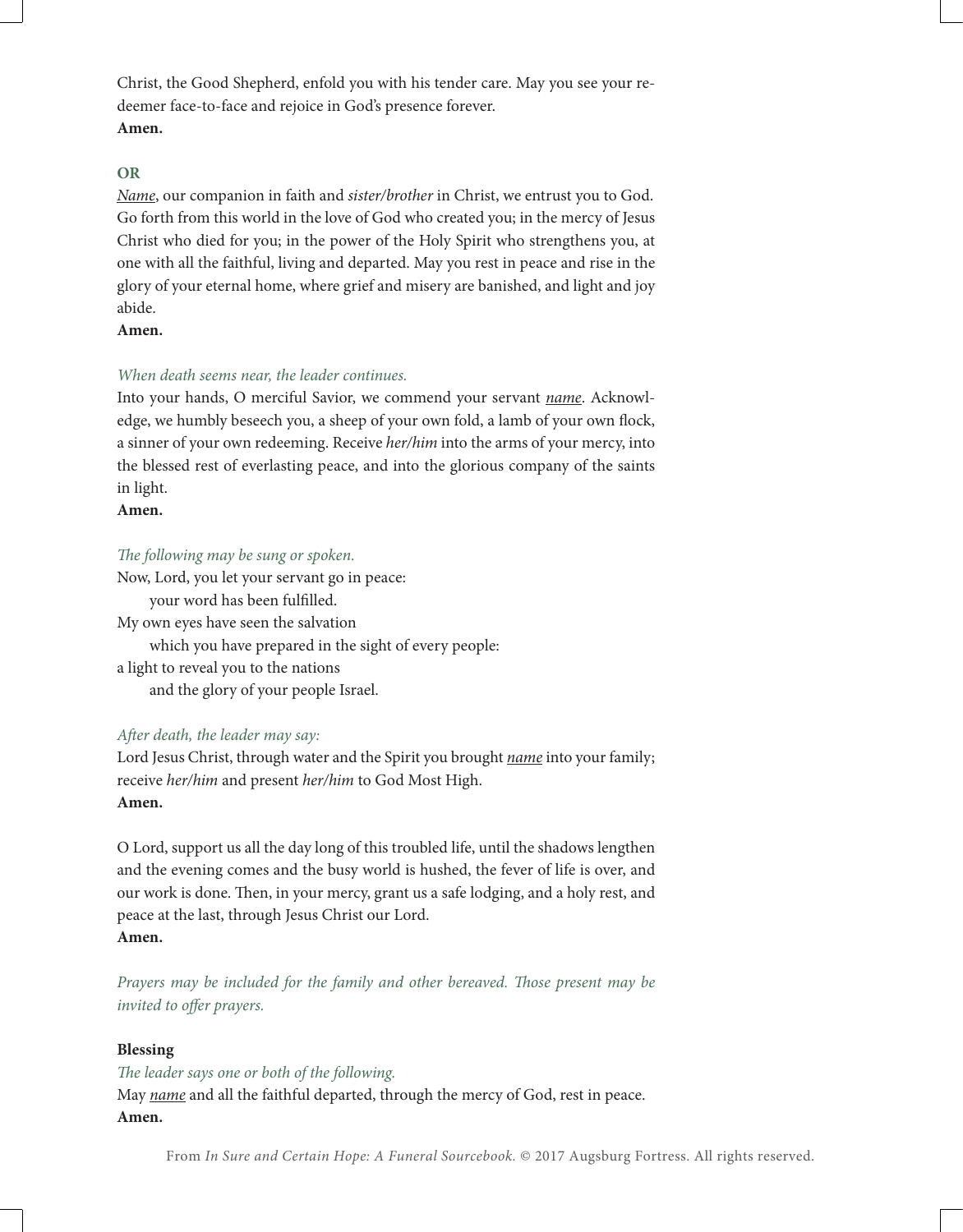Christ, the Good Shepherd, enfold you with his tender care. May you see your redeemer face-to-face and rejoice in God's presence forever. **Amen.**

# **OR**

*Name*, our companion in faith and *sister/brother* in Christ, we entrust you to God. Go forth from this world in the love of God who created you; in the mercy of Jesus Christ who died for you; in the power of the Holy Spirit who strengthens you, at one with all the faithful, living and departed. May you rest in peace and rise in the glory of your eternal home, where grief and misery are banished, and light and joy abide.

# **Amen.**

# *When death seems near, the leader continues.*

Into your hands, O merciful Savior, we commend your servant *name*. Acknowledge, we humbly beseech you, a sheep of your own fold, a lamb of your own flock, a sinner of your own redeeming. Receive *her/him* into the arms of your mercy, into the blessed rest of everlasting peace, and into the glorious company of the saints in light.

#### **Amen.**

*The following may be sung or spoken.*

Now, Lord, you let your servant go in peace: your word has been fulfilled. My own eyes have seen the salvation which you have prepared in the sight of every people: a light to reveal you to the nations

and the glory of your people Israel.

# *After death, the leader may say:*

Lord Jesus Christ, through water and the Spirit you brought *name* into your family; receive *her/him* and present *her/him* to God Most High. **Amen.**

O Lord, support us all the day long of this troubled life, until the shadows lengthen and the evening comes and the busy world is hushed, the fever of life is over, and our work is done. Then, in your mercy, grant us a safe lodging, and a holy rest, and peace at the last, through Jesus Christ our Lord. **Amen.**

*Prayers may be included for the family and other bereaved. Those present may be invited to offer prayers.*

# **Blessing**

*The leader says one or both of the following.* May *name* and all the faithful departed, through the mercy of God, rest in peace. **Amen.**

From *In Sure and Certain Hope: A Funeral Sourcebook.* © 2017 Augsburg Fortress. All rights reserved.